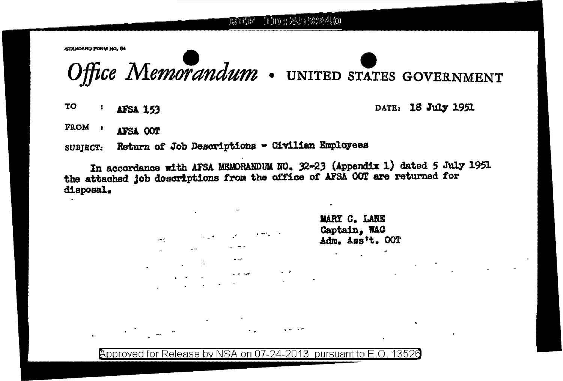1000:2459240 黒津津

STANDARD FORM NO. 64

Office Memorandum . UNITED STATES GOVERNMENT

**TO** ÷ **AFSA 153**  DATE: 18 July 1951

FROM : AFSA OOT

SUBJECT: Return of Job Descriptions - Civilian Employees

In accordance with AFSA MEMORANDUM NO. 32-23 (Appendix 1) dated 5 July 1951 the attached job doscriptions from the office of AFSA OOT are returned for disposal.

> MARY C. LANE Captain, WAC Adm. Ass't. OOT

Approved for Release by NSA on 07-24-2013 pursuant to E.O. 13526